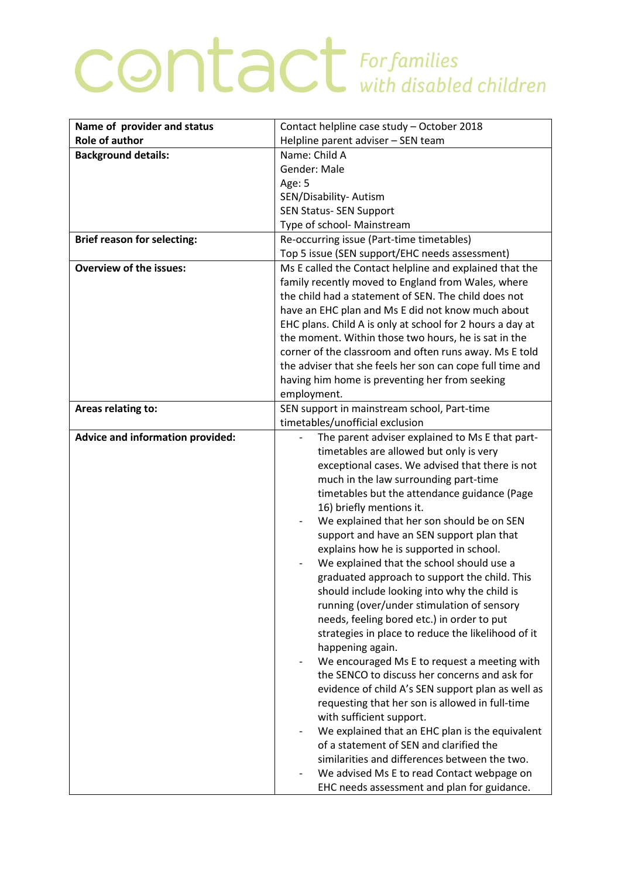## **CONTACT** For families

| Name of provider and status             | Contact helpline case study - October 2018                |
|-----------------------------------------|-----------------------------------------------------------|
| <b>Role of author</b>                   | Helpline parent adviser - SEN team                        |
| <b>Background details:</b>              | Name: Child A                                             |
|                                         | Gender: Male                                              |
|                                         | Age: 5                                                    |
|                                         | SEN/Disability- Autism                                    |
|                                         | <b>SEN Status- SEN Support</b>                            |
|                                         | Type of school- Mainstream                                |
| <b>Brief reason for selecting:</b>      | Re-occurring issue (Part-time timetables)                 |
|                                         | Top 5 issue (SEN support/EHC needs assessment)            |
| <b>Overview of the issues:</b>          | Ms E called the Contact helpline and explained that the   |
|                                         | family recently moved to England from Wales, where        |
|                                         | the child had a statement of SEN. The child does not      |
|                                         | have an EHC plan and Ms E did not know much about         |
|                                         | EHC plans. Child A is only at school for 2 hours a day at |
|                                         | the moment. Within those two hours, he is sat in the      |
|                                         | corner of the classroom and often runs away. Ms E told    |
|                                         | the adviser that she feels her son can cope full time and |
|                                         | having him home is preventing her from seeking            |
|                                         | employment.                                               |
| Areas relating to:                      | SEN support in mainstream school, Part-time               |
|                                         | timetables/unofficial exclusion                           |
| <b>Advice and information provided:</b> | The parent adviser explained to Ms E that part-           |
|                                         | timetables are allowed but only is very                   |
|                                         | exceptional cases. We advised that there is not           |
|                                         | much in the law surrounding part-time                     |
|                                         | timetables but the attendance guidance (Page              |
|                                         | 16) briefly mentions it.                                  |
|                                         | We explained that her son should be on SEN                |
|                                         | support and have an SEN support plan that                 |
|                                         | explains how he is supported in school.                   |
|                                         | We explained that the school should use a                 |
|                                         | graduated approach to support the child. This             |
|                                         | should include looking into why the child is              |
|                                         | running (over/under stimulation of sensory                |
|                                         | needs, feeling bored etc.) in order to put                |
|                                         | strategies in place to reduce the likelihood of it        |
|                                         | happening again.                                          |
|                                         | We encouraged Ms E to request a meeting with              |
|                                         | the SENCO to discuss her concerns and ask for             |
|                                         | evidence of child A's SEN support plan as well as         |
|                                         | requesting that her son is allowed in full-time           |
|                                         | with sufficient support.                                  |
|                                         | We explained that an EHC plan is the equivalent           |
|                                         | of a statement of SEN and clarified the                   |
|                                         | similarities and differences between the two.             |
|                                         | We advised Ms E to read Contact webpage on                |
|                                         | EHC needs assessment and plan for guidance.               |